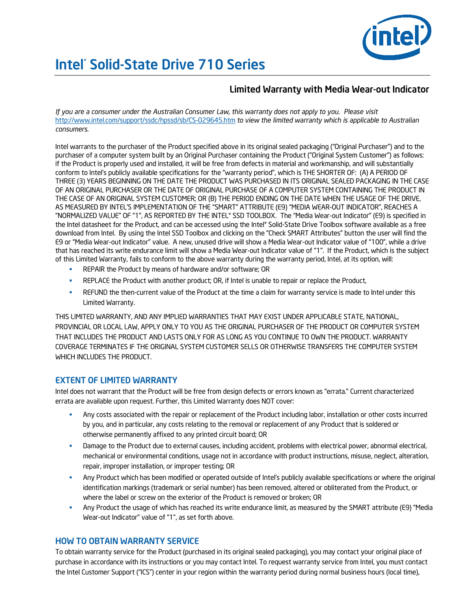

# Intel® Solid-State Drive 710 Series

## Limited Warranty with Media Wear-out Indicator

*If you are a consumer under the Australian Consumer Law, this warranty does not apply to you. Please visit*  <http://www.intel.com/support/ssdc/hpssd/sb/CS-029645.htm> *to view the limited warranty which is applicable to Australian consumers*.

Intel warrants to the purchaser of the Product specified above in its original sealed packaging ("Original Purchaser") and to the purchaser of a computer system built by an Original Purchaser containing the Product ("Original System Customer") as follows: if the Product is properly used and installed, it will be free from defects in material and workmanship, and will substantially conform to Intel's publicly available specifications for the "warranty period", which is THE SHORTER OF: (A) A PERIOD OF THREE (3) YEARS BEGINNING ON THE DATE THE PRODUCT WAS PURCHASED IN ITS ORIGINAL SEALED PACKAGING IN THE CASE OF AN ORIGINAL PURCHASER OR THE DATE OF ORIGINAL PURCHASE OF A COMPUTER SYSTEM CONTAINING THE PRODUCT IN THE CASE OF AN ORIGINAL SYSTEM CUSTOMER; OR (B) THE PERIOD ENDING ON THE DATE WHEN THE USAGE OF THE DRIVE, AS MEASURED BY INTEL'S IMPLEMENTATION OF THE "SMART" ATTRIBUTE (E9) "MEDIA WEAR-OUT INDICATOR", REACHES A "NORMALIZED VALUE" OF "1", AS REPORTED BY THE INTEL® SSD TOOLBOX*.* The "Media Wear-out Indicator" (E9) is specified in the Intel datasheet for the Product, and can be accessed using the Intel® Solid-State Drive Toolbox software available as a free download from Intel. By using the Intel SSD Toolbox and clicking on the "Check SMART Attributes" button the user will find the E9 or "Media Wear-out Indicator" value. A new, unused drive will show a Media Wear-out Indicator value of "100", while a drive that has reached its write endurance limit will show a Media Wear-out Indicator value of "1". If the Product, which is the subject of this Limited Warranty, fails to conform to the above warranty during the warranty period, Intel, at its option, will:

- REPAIR the Product by means of hardware and/or software; OR
- REPLACE the Product with another product; OR, if Intel is unable to repair or replace the Product,
- REFUND the then-current value of the Product at the time a claim for warranty service is made to Intel under this Limited Warranty.

THIS LIMITED WARRANTY, AND ANY IMPLIED WARRANTIES THAT MAY EXIST UNDER APPLICABLE STATE, NATIONAL, PROVINCIAL OR LOCAL LAW, APPLY ONLY TO YOU AS THE ORIGINAL PURCHASER OF THE PRODUCT OR COMPUTER SYSTEM THAT INCLUDES THE PRODUCT AND LASTS ONLY FOR AS LONG AS YOU CONTINUE TO OWN THE PRODUCT. WARRANTY COVERAGE TERMINATES IF THE ORIGINAL SYSTEM CUSTOMER SELLS OR OTHERWISE TRANSFERS THE COMPUTER SYSTEM WHICH INCLUDES THE PRODUCT.

## EXTENT OF LIMITED WARRANTY

Intel does not warrant that the Product will be free from design defects or errors known as "errata." Current characterized errata are available upon request. Further, this Limited Warranty does NOT cover:

- Any costs associated with the repair or replacement of the Product including labor, installation or other costs incurred by you, and in particular, any costs relating to the removal or replacement of any Product that is soldered or otherwise permanently affixed to any printed circuit board; OR
- **Damage to the Product due to external causes, including accident, problems with electrical power, abnormal electrical,** mechanical or environmental conditions, usage not in accordance with product instructions, misuse, neglect, alteration, repair, improper installation, or improper testing; OR
- Any Product which has been modified or operated outside of Intel's publicly available specifications or where the original identification markings (trademark or serial number) has been removed, altered or obliterated from the Product, or where the label or screw on the exterior of the Product is removed or broken; OR
- Any Product the usage of which has reached its write endurance limit, as measured by the SMART attribute (E9) "Media Wear-out Indicator" value of "1", as set forth above.

## HOW TO OBTAIN WARRANTY SERVICE

To obtain warranty service for the Product (purchased in its original sealed packaging), you may contact your original place of purchase in accordance with its instructions or you may contact Intel. To request warranty service from Intel, you must contact the Intel Customer Support ("ICS") center in your region within the warranty period during normal business hours (local time),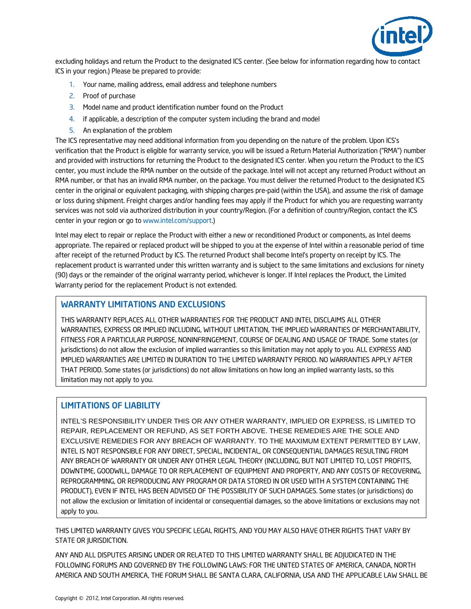

excluding holidays and return the Product to the designated ICS center. (See below for information regarding how to contact ICS in your region.) Please be prepared to provide:

- 1. Your name, mailing address, email address and telephone numbers
- 2. Proof of purchase
- 3. Model name and product identification number found on the Product
- 4. if applicable, a description of the computer system including the brand and model
- 5. An explanation of the problem

The ICS representative may need additional information from you depending on the nature of the problem. Upon ICS's verification that the Product is eligible for warranty service, you will be issued a Return Material Authorization ("RMA") number and provided with instructions for returning the Product to the designated ICS center. When you return the Product to the ICS center, you must include the RMA number on the outside of the package. Intel will not accept any returned Product without an RMA number, or that has an invalid RMA number, on the package. You must deliver the returned Product to the designated ICS center in the original or equivalent packaging, with shipping charges pre-paid (within the USA), and assume the risk of damage or loss during shipment. Freight charges and/or handling fees may apply if the Product for which you are requesting warranty services was not sold via authorized distribution in your country/Region. (For a definition of country/Region, contact the ICS center in your region or go to [www.intel.com/support.\)](http://www.intel.com/support)

Intel may elect to repair or replace the Product with either a new or reconditioned Product or components, as Intel deems appropriate. The repaired or replaced product will be shipped to you at the expense of Intel within a reasonable period of time after receipt of the returned Product by ICS. The returned Product shall become Intel's property on receipt by ICS. The replacement product is warranted under this written warranty and is subject to the same limitations and exclusions for ninety (90) days or the remainder of the original warranty period, whichever is longer. If Intel replaces the Product, the Limited Warranty period for the replacement Product is not extended.

#### WARRANTY LIMITATIONS AND EXCLUSIONS

THIS WARRANTY REPLACES ALL OTHER WARRANTIES FOR THE PRODUCT AND INTEL DISCLAIMS ALL OTHER WARRANTIES, EXPRESS OR IMPLIED INCLUDING, WITHOUT LIMITATION, THE IMPLIED WARRANTIES OF MERCHANTABILITY, FITNESS FOR A PARTICULAR PURPOSE, NONINFRINGEMENT, COURSE OF DEALING AND USAGE OF TRADE. Some states (or jurisdictions) do not allow the exclusion of implied warranties so this limitation may not apply to you. ALL EXPRESS AND IMPLIED WARRANTIES ARE LIMITED IN DURATION TO THE LIMITED WARRANTY PERIOD. NO WARRANTIES APPLY AFTER THAT PERIOD. Some states (or jurisdictions) do not allow limitations on how long an implied warranty lasts, so this limitation may not apply to you.

#### LIMITATIONS OF LIABILITY

INTEL'S RESPONSIBILITY UNDER THIS OR ANY OTHER WARRANTY, IMPLIED OR EXPRESS, IS LIMITED TO REPAIR, REPLACEMENT OR REFUND, AS SET FORTH ABOVE. THESE REMEDIES ARE THE SOLE AND EXCLUSIVE REMEDIES FOR ANY BREACH OF WARRANTY. TO THE MAXIMUM EXTENT PERMITTED BY LAW, INTEL IS NOT RESPONSIBLE FOR ANY DIRECT, SPECIAL, INCIDENTAL, OR CONSEQUENTIAL DAMAGES RESULTING FROM ANY BREACH OF WARRANTY OR UNDER ANY OTHER LEGAL THEORY (INCLUDING, BUT NOT LIMITED TO, LOST PROFITS, DOWNTIME, GOODWILL, DAMAGE TO OR REPLACEMENT OF EQUIPMENT AND PROPERTY, AND ANY COSTS OF RECOVERING, REPROGRAMMING, OR REPRODUCING ANY PROGRAM OR DATA STORED IN OR USED WITH A SYSTEM CONTAINING THE PRODUCT), EVEN IF INTEL HAS BEEN ADVISED OF THE POSSIBILITY OF SUCH DAMAGES. Some states (or jurisdictions) do not allow the exclusion or limitation of incidental or consequential damages, so the above limitations or exclusions may not apply to you.

THIS LIMITED WARRANTY GIVES YOU SPECIFIC LEGAL RIGHTS, AND YOU MAY ALSO HAVE OTHER RIGHTS THAT VARY BY STATE OR JURISDICTION.

ANY AND ALL DISPUTES ARISING UNDER OR RELATED TO THIS LIMITED WARRANTY SHALL BE ADJUDICATED IN THE FOLLOWING FORUMS AND GOVERNED BY THE FOLLOWING LAWS: FOR THE UNITED STATES OF AMERICA, CANADA, NORTH AMERICA AND SOUTH AMERICA, THE FORUM SHALL BE SANTA CLARA, CALIFORNIA, USA AND THE APPLICABLE LAW SHALL BE